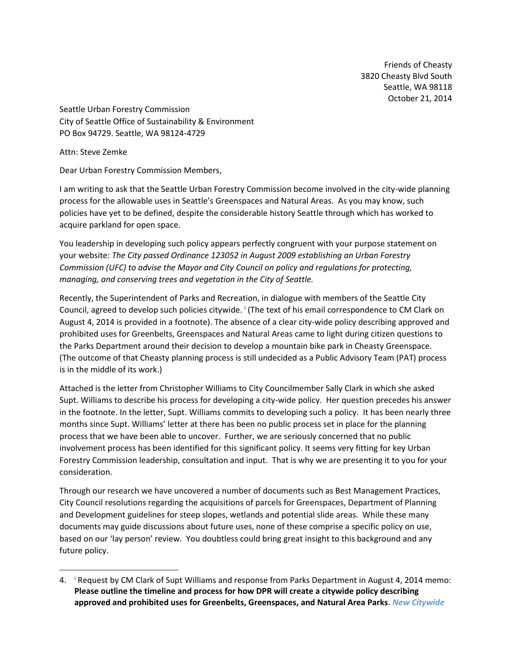Friends of Cheasty 3820 Cheasty Blvd South Seattle, WA 98118 October 21, 2014

Seattle Urban Forestry Commission City of Seattle Office of Sustainability & Environment PO Box 94729. Seattle, WA 98124-4729

Attn: Steve Zemke

 $\overline{\phantom{a}}$ 

Dear Urban Forestry Commission Members,

I am writing to ask that the Seattle Urban Forestry Commission become involved in the city-wide planning process for the allowable uses in Seattle's Greenspaces and Natural Areas. As you may know, such policies have yet to be defined, despite the considerable history Seattle through which has worked to acquire parkland for open space.

You leadership in developing such policy appears perfectly congruent with your purpose statement on your website: *The City passed Ordinance 123052 in August 2009 establishing an Urban Forestry Commission (UFC) to advise the Mayor and City Council on policy and regulations for protecting, managing, and conserving trees and vegetation in the City of Seattle.*

Recently, the Superintendent of Parks and Recreation, in dialogue with members of the Seattle City Council, agreed to develop such policies citywide. <sup>i</sup> (The text of his email correspondence to CM Clark on August 4, 2014 is provided in a footnote). The absence of a clear city-wide policy describing approved and prohibited uses for Greenbelts, Greenspaces and Natural Areas came to light during citizen questions to the Parks Department around their decision to develop a mountain bike park in Cheasty Greenspace. (The outcome of that Cheasty planning process is still undecided as a Public Advisory Team (PAT) process is in the middle of its work.)

Attached is the letter from Christopher Williams to City Councilmember Sally Clark in which she asked Supt. Williams to describe his process for developing a city-wide policy. Her question precedes his answer in the footnote. In the letter, Supt. Williams commits to developing such a policy. It has been nearly three months since Supt. Williams' letter at there has been no public process set in place for the planning process that we have been able to uncover. Further, we are seriously concerned that no public involvement process has been identified for this significant policy. It seems very fitting for key Urban Forestry Commission leadership, consultation and input. That is why we are presenting it to you for your consideration.

Through our research we have uncovered a number of documents such as Best Management Practices, City Council resolutions regarding the acquisitions of parcels for Greenspaces, Department of Planning and Development guidelines for steep slopes, wetlands and potential slide areas. While these many documents may guide discussions about future uses, none of these comprise a specific policy on use, based on our 'lay person' review. You doubtless could bring great insight to this background and any future policy.

<sup>4.</sup> <sup>i</sup> Request by CM Clark of Supt Williams and response from Parks Department in August 4, 2014 memo: **Please outline the timeline and process for how DPR will create a citywide policy describing approved and prohibited uses for Greenbelts, Greenspaces, and Natural Area Parks**. *New Citywide*